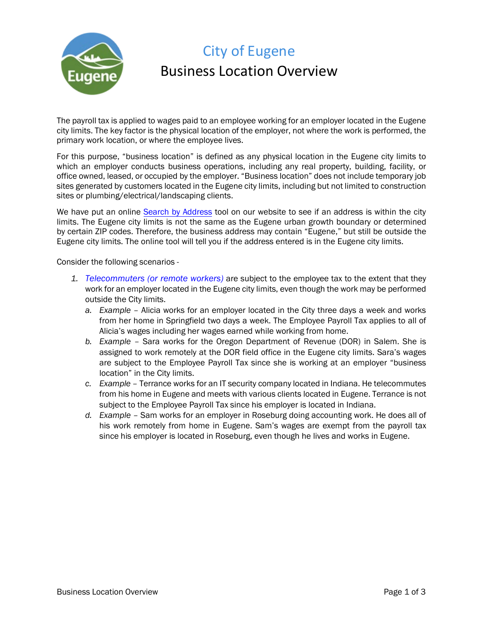

# City of Eugene Business Location Overview

The payroll tax is applied to wages paid to an employee working for an employer located in the Eugene city limits. The key factor is the physical location of the employer, not where the work is performed, the primary work location, or where the employee lives.

For this purpose, "business location" is defined as any physical location in the Eugene city limits to which an employer conducts business operations, including any real property, building, facility, or office owned, leased, or occupied by the employer. "Business location" does not include temporary job sites generated by customers located in the Eugene city limits, including but not limited to construction sites or plumbing/electrical/landscaping clients.

We have put an online Search by Address tool on our website to see if an address is within the city limits. The Eugene city limits is not the same as the Eugene urban growth boundary or determined by certain ZIP codes. Therefore, the business address may contain "Eugene," but still be outside the Eugene city limits. The online tool will tell you if the address entered is in the Eugene city limits.

Consider the following scenarios -

- *1. Telecommuters (or remote workers)* are subject to the employee tax to the extent that they work for an employer located in the Eugene city limits, even though the work may be performed outside the City limits.
	- *a. Example* Alicia works for an employer located in the City three days a week and works from her home in Springfield two days a week. The Employee Payroll Tax applies to all of Alicia's wages including her wages earned while working from home.
	- *b. Example* Sara works for the Oregon Department of Revenue (DOR) in Salem. She is assigned to work remotely at the DOR field office in the Eugene city limits. Sara's wages are subject to the Employee Payroll Tax since she is working at an employer "business location" in the City limits.
	- *c. Example* Terrance works for an IT security company located in Indiana. He telecommutes from his home in Eugene and meets with various clients located in Eugene. Terrance is not subject to the Employee Payroll Tax since his employer is located in Indiana.
	- *d. Example* Sam works for an employer in Roseburg doing accounting work. He does all of his work remotely from home in Eugene. Sam's wages are exempt from the payroll tax since his employer is located in Roseburg, even though he lives and works in Eugene.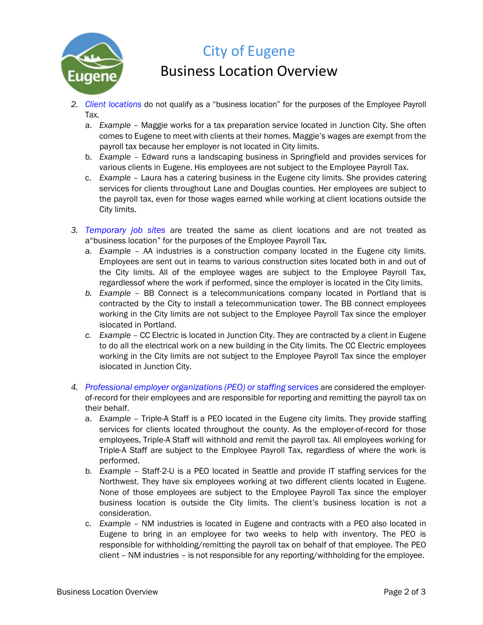

## City of Eugene

#### Business Location Overview

- *2. Client locations* do not qualify as a "business location" for the purposes of the Employee Payroll Tax.
	- a. *Example* Maggie works for a tax preparation service located in Junction City. She often comes to Eugene to meet with clients at their homes. Maggie's wages are exempt from the payroll tax because her employer is not located in City limits.
	- b. *Example* Edward runs a landscaping business in Springfield and provides services for various clients in Eugene. His employees are not subject to the Employee Payroll Tax.
	- c. *Example* Laura has a catering business in the Eugene city limits. She provides catering services for clients throughout Lane and Douglas counties. Her employees are subject to the payroll tax, even for those wages earned while working at client locations outside the City limits.
- *3. Temporary job sites* are treated the same as client locations and are not treated as a"business location" for the purposes of the Employee Payroll Tax*.*
	- *a. Example* AA industries is a construction company located in the Eugene city limits. Employees are sent out in teams to various construction sites located both in and out of the City limits. All of the employee wages are subject to the Employee Payroll Tax, regardlessof where the work if performed, since the employer is located in the City limits.
	- *b. Example* BB Connect is a telecommunications company located in Portland that is contracted by the City to install a telecommunication tower. The BB connect employees working in the City limits are not subject to the Employee Payroll Tax since the employer islocated in Portland.
	- *c. Example* CC Electric is located in Junction City. They are contracted by a client in Eugene to do all the electrical work on a new building in the City limits. The CC Electric employees working in the City limits are not subject to the Employee Payroll Tax since the employer islocated in Junction City.
- *4. Professional employer organizations (PEO) or staffing services* are considered the employerof-record for their employees and are responsible for reporting and remitting the payroll tax on their behalf.
	- a. *Example* Triple-A Staff is a PEO located in the Eugene city limits. They provide staffing services for clients located throughout the county. As the employer-of-record for those employees, Triple-A Staff will withhold and remit the payroll tax. All employees working for Triple-A Staff are subject to the Employee Payroll Tax, regardless of where the work is performed.
	- b. *Example* Staff-2-U is a PEO located in Seattle and provide IT staffing services for the Northwest. They have six employees working at two different clients located in Eugene. None of those employees are subject to the Employee Payroll Tax since the employer business location is outside the City limits. The client's business location is not a consideration.
	- c. *Example* NM industries is located in Eugene and contracts with a PEO also located in Eugene to bring in an employee for two weeks to help with inventory. The PEO is responsible for withholding/remitting the payroll tax on behalf of that employee. The PEO client – NM industries – is not responsible for any reporting/withholding for the employee.